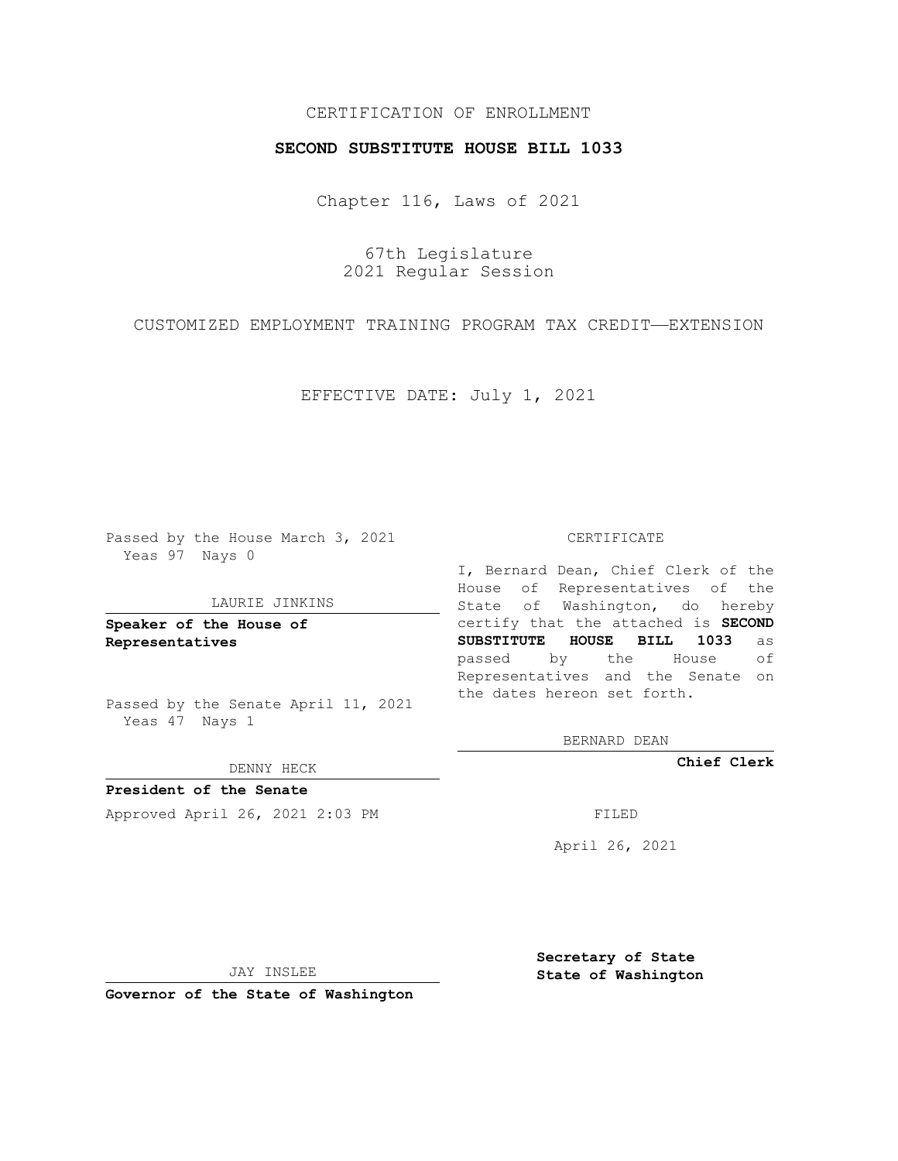# CERTIFICATION OF ENROLLMENT

### **SECOND SUBSTITUTE HOUSE BILL 1033**

Chapter 116, Laws of 2021

67th Legislature 2021 Regular Session

CUSTOMIZED EMPLOYMENT TRAINING PROGRAM TAX CREDIT—EXTENSION

EFFECTIVE DATE: July 1, 2021

Passed by the House March 3, 2021 Yeas 97 Nays 0

#### LAURIE JINKINS

**Speaker of the House of Representatives**

Passed by the Senate April 11, 2021 Yeas 47 Nays 1

#### DENNY HECK

**President of the Senate** Approved April 26, 2021 2:03 PM FILED

#### CERTIFICATE

I, Bernard Dean, Chief Clerk of the House of Representatives of the State of Washington, do hereby certify that the attached is **SECOND SUBSTITUTE HOUSE BILL 1033** as passed by the House of Representatives and the Senate on the dates hereon set forth.

BERNARD DEAN

**Chief Clerk**

April 26, 2021

JAY INSLEE

**Governor of the State of Washington**

**Secretary of State State of Washington**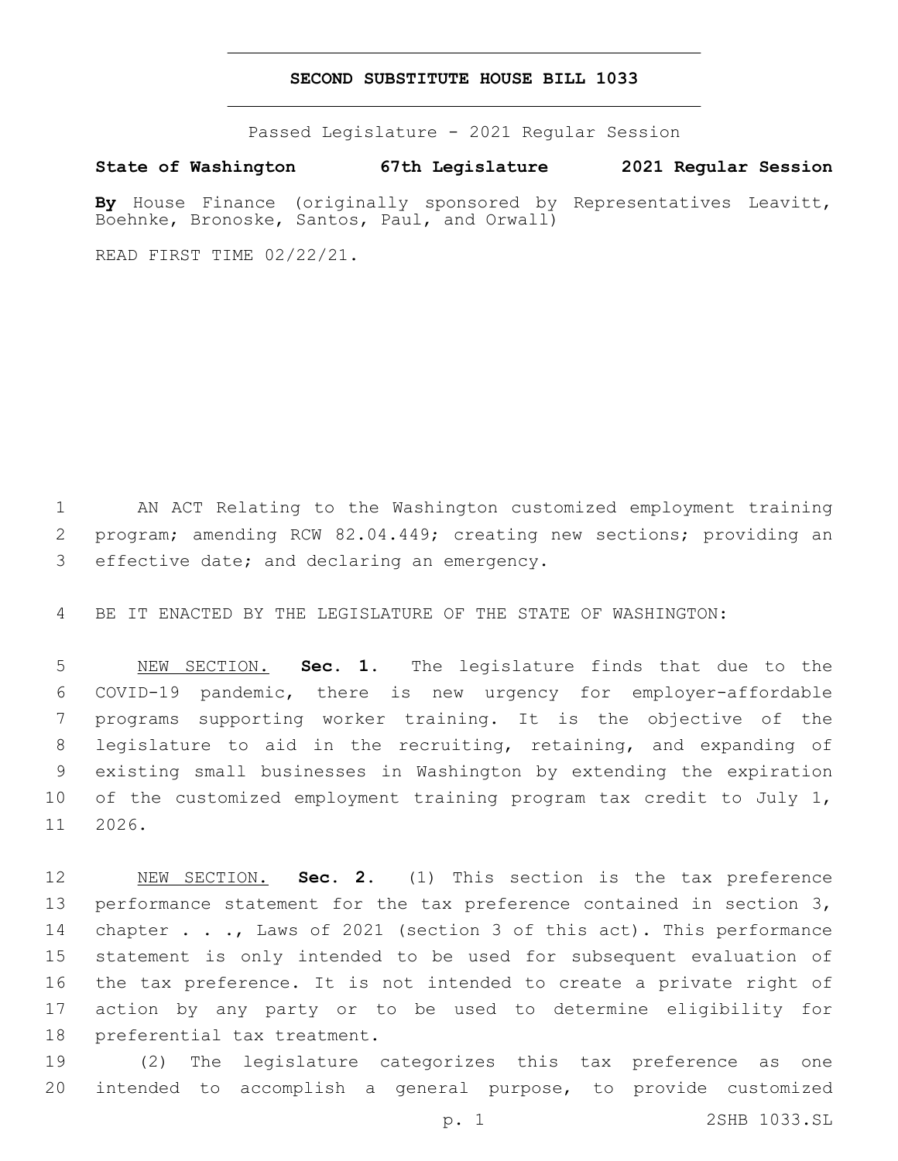## **SECOND SUBSTITUTE HOUSE BILL 1033**

Passed Legislature - 2021 Regular Session

**State of Washington 67th Legislature 2021 Regular Session**

By House Finance (originally sponsored by Representatives Leavitt, Boehnke, Bronoske, Santos, Paul, and Orwall)

READ FIRST TIME 02/22/21.

 AN ACT Relating to the Washington customized employment training program; amending RCW 82.04.449; creating new sections; providing an 3 effective date; and declaring an emergency.

BE IT ENACTED BY THE LEGISLATURE OF THE STATE OF WASHINGTON:

 NEW SECTION. **Sec. 1.** The legislature finds that due to the COVID-19 pandemic, there is new urgency for employer-affordable programs supporting worker training. It is the objective of the legislature to aid in the recruiting, retaining, and expanding of existing small businesses in Washington by extending the expiration of the customized employment training program tax credit to July 1, 11 2026.

 NEW SECTION. **Sec. 2.** (1) This section is the tax preference performance statement for the tax preference contained in section 3, 14 chapter . . ., Laws of 2021 (section 3 of this act). This performance statement is only intended to be used for subsequent evaluation of the tax preference. It is not intended to create a private right of action by any party or to be used to determine eligibility for preferential tax treatment.

 (2) The legislature categorizes this tax preference as one intended to accomplish a general purpose, to provide customized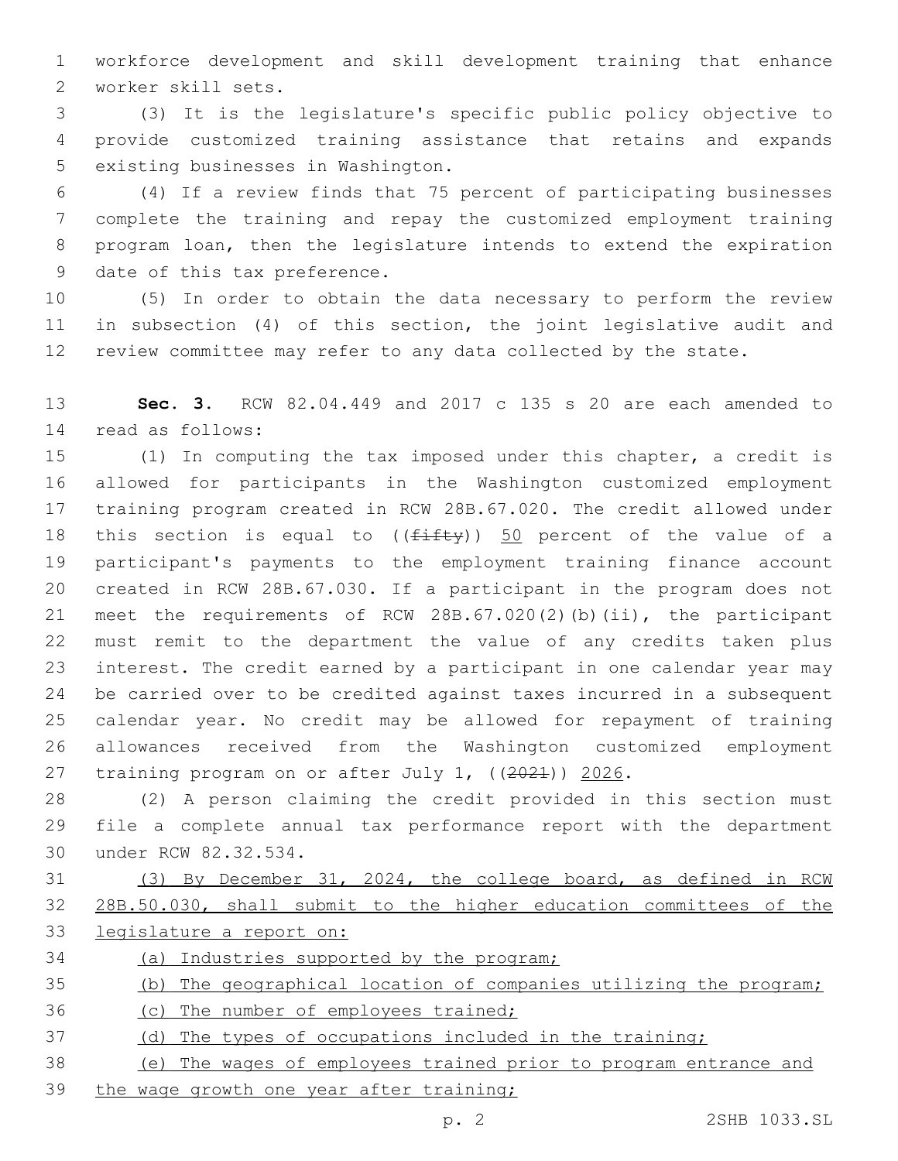workforce development and skill development training that enhance worker skill sets.2

 (3) It is the legislature's specific public policy objective to provide customized training assistance that retains and expands 5 existing businesses in Washington.

 (4) If a review finds that 75 percent of participating businesses complete the training and repay the customized employment training program loan, then the legislature intends to extend the expiration 9 date of this tax preference.

 (5) In order to obtain the data necessary to perform the review in subsection (4) of this section, the joint legislative audit and review committee may refer to any data collected by the state.

 **Sec. 3.** RCW 82.04.449 and 2017 c 135 s 20 are each amended to read as follows:14

 (1) In computing the tax imposed under this chapter, a credit is allowed for participants in the Washington customized employment training program created in RCW 28B.67.020. The credit allowed under 18 this section is equal to  $((f\text{iff}\psi))$  50 percent of the value of a participant's payments to the employment training finance account created in RCW 28B.67.030. If a participant in the program does not meet the requirements of RCW 28B.67.020(2)(b)(ii), the participant must remit to the department the value of any credits taken plus interest. The credit earned by a participant in one calendar year may be carried over to be credited against taxes incurred in a subsequent calendar year. No credit may be allowed for repayment of training allowances received from the Washington customized employment training program on or after July 1, ((2021)) 2026.

 (2) A person claiming the credit provided in this section must file a complete annual tax performance report with the department 30 under RCW 82.32.534.

 (3) By December 31, 2024, the college board, as defined in RCW 28B.50.030, shall submit to the higher education committees of the legislature a report on:

(a) Industries supported by the program;

# (b) The geographical location of companies utilizing the program;

(c) The number of employees trained;

(d) The types of occupations included in the training;

 (e) The wages of employees trained prior to program entrance and 39 the wage growth one year after training;